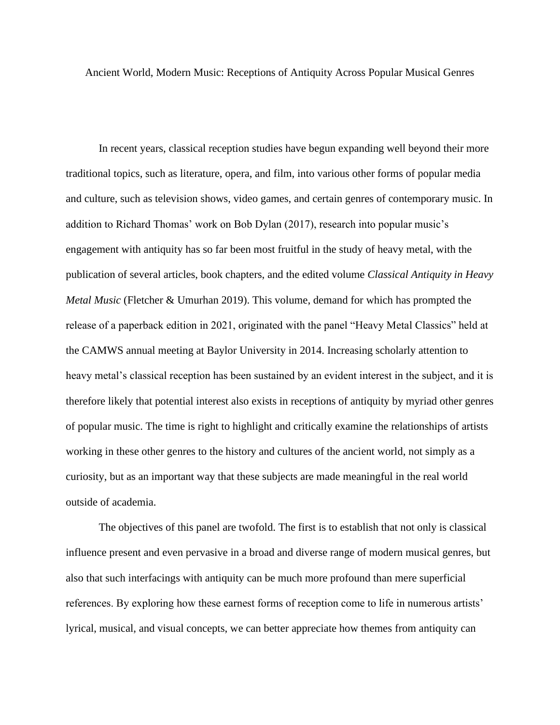Ancient World, Modern Music: Receptions of Antiquity Across Popular Musical Genres

In recent years, classical reception studies have begun expanding well beyond their more traditional topics, such as literature, opera, and film, into various other forms of popular media and culture, such as television shows, video games, and certain genres of contemporary music. In addition to Richard Thomas' work on Bob Dylan (2017), research into popular music's engagement with antiquity has so far been most fruitful in the study of heavy metal, with the publication of several articles, book chapters, and the edited volume *Classical Antiquity in Heavy Metal Music* (Fletcher & Umurhan 2019). This volume, demand for which has prompted the release of a paperback edition in 2021, originated with the panel "Heavy Metal Classics" held at the CAMWS annual meeting at Baylor University in 2014. Increasing scholarly attention to heavy metal's classical reception has been sustained by an evident interest in the subject, and it is therefore likely that potential interest also exists in receptions of antiquity by myriad other genres of popular music. The time is right to highlight and critically examine the relationships of artists working in these other genres to the history and cultures of the ancient world, not simply as a curiosity, but as an important way that these subjects are made meaningful in the real world outside of academia.

The objectives of this panel are twofold. The first is to establish that not only is classical influence present and even pervasive in a broad and diverse range of modern musical genres, but also that such interfacings with antiquity can be much more profound than mere superficial references. By exploring how these earnest forms of reception come to life in numerous artists' lyrical, musical, and visual concepts, we can better appreciate how themes from antiquity can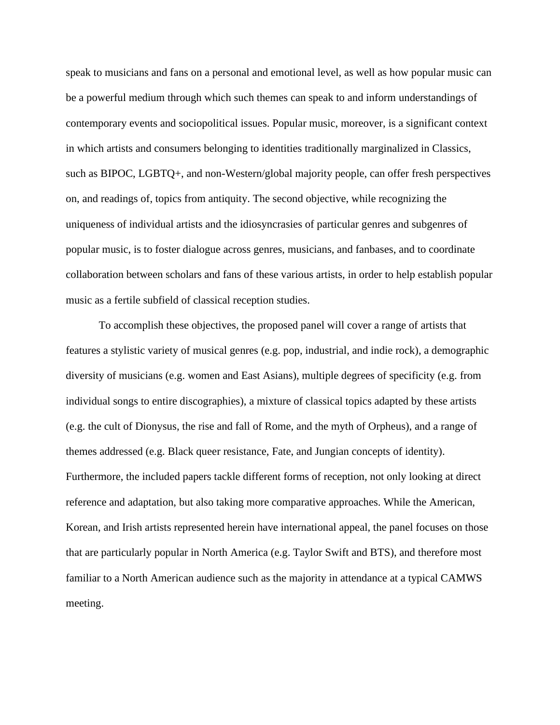speak to musicians and fans on a personal and emotional level, as well as how popular music can be a powerful medium through which such themes can speak to and inform understandings of contemporary events and sociopolitical issues. Popular music, moreover, is a significant context in which artists and consumers belonging to identities traditionally marginalized in Classics, such as BIPOC, LGBTQ+, and non-Western/global majority people, can offer fresh perspectives on, and readings of, topics from antiquity. The second objective, while recognizing the uniqueness of individual artists and the idiosyncrasies of particular genres and subgenres of popular music, is to foster dialogue across genres, musicians, and fanbases, and to coordinate collaboration between scholars and fans of these various artists, in order to help establish popular music as a fertile subfield of classical reception studies.

To accomplish these objectives, the proposed panel will cover a range of artists that features a stylistic variety of musical genres (e.g. pop, industrial, and indie rock), a demographic diversity of musicians (e.g. women and East Asians), multiple degrees of specificity (e.g. from individual songs to entire discographies), a mixture of classical topics adapted by these artists (e.g. the cult of Dionysus, the rise and fall of Rome, and the myth of Orpheus), and a range of themes addressed (e.g. Black queer resistance, Fate, and Jungian concepts of identity). Furthermore, the included papers tackle different forms of reception, not only looking at direct reference and adaptation, but also taking more comparative approaches. While the American, Korean, and Irish artists represented herein have international appeal, the panel focuses on those that are particularly popular in North America (e.g. Taylor Swift and BTS), and therefore most familiar to a North American audience such as the majority in attendance at a typical CAMWS meeting.